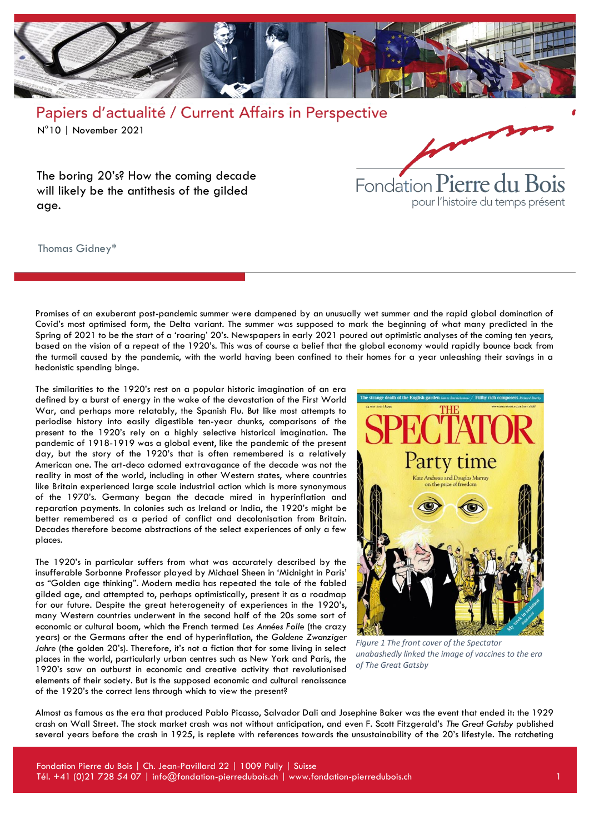

The boring 20's? How the coming decade will likely be the antithesis of the gilded age.

Thomas Gidney\*



The similarities to the 1920's rest on a popular historic imagination of an era defined by a burst of energy in the wake of the devastation of the First World War, and perhaps more relatably, the Spanish Flu. But like most attempts to periodise history into easily digestible ten-year chunks, comparisons of the present to the 1920's rely on a highly selective historical imagination. The pandemic of 1918-1919 was a global event, like the pandemic of the present day, but the story of the 1920's that is often remembered is a relatively American one. The art-deco adorned extravagance of the decade was not the reality in most of the world, including in other Western states, where countries like Britain experienced large scale industrial action which is more synonymous of the 1970's. Germany began the decade mired in hyperinflation and reparation payments. In colonies such as Ireland or India, the 1920's might be better remembered as a period of conflict and decolonisation from Britain. Decades therefore become abstractions of the select experiences of only a few places.

The 1920's in particular suffers from what was accurately described by the insufferable Sorbonne Professor played by Michael Sheen in 'Midnight in Paris' as "Golden age thinking". Modern media has repeated the tale of the fabled gilded age, and attempted to, perhaps optimistically, present it as a roadmap for our future. Despite the great heterogeneity of experiences in the 1920's, many Western countries underwent in the second half of the 20s some sort of economic or cultural boom, which the French termed *Les Années Folle* (the crazy years) or the Germans after the end of hyperinflation, the *Goldene Zwanziger*  Jahre (the golden 20's). Therefore, it's not a fiction that for some living in select places in the world, particularly urban centres such as New York and Paris, the 1920's saw an outburst in economic and creative activity that revolutionised elements of their society. But is the supposed economic and cultural renaissance of the 1920's the correct lens through which to view the present?



Fondation Pierre du Bois

pour l'histoire du temps présent

*Figure 1 The front cover of the Spectator unabashedly linked the image of vaccines to the era of The Great Gatsby*

Almost as famous as the era that produced Pablo Picasso, Salvador Dali and Josephine Baker was the event that ended it: the 1929 crash on Wall Street. The stock market crash was not without anticipation, and even F. Scott Fitzgerald's *The Great Gatsby* published several years before the crash in 1925, is replete with references towards the unsustainability of the 20's lifestyle. The ratcheting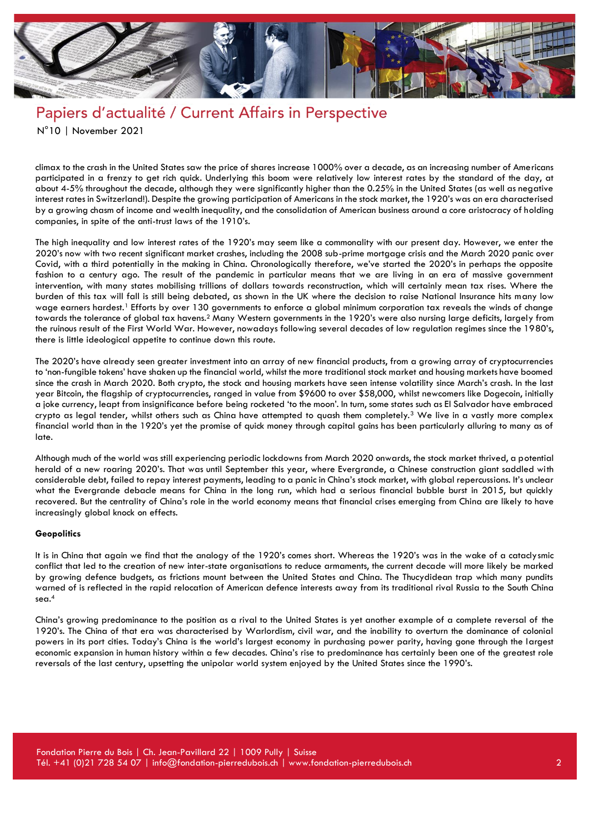

# Papiers d'actualité / Current Affairs in Perspective

N°10 | November 2021

climax to the crash in the United States saw the price of shares increase 1000% over a decade, as an increasing number of Americans participated in a frenzy to get rich quick. Underlying this boom were relatively low interest rates by the standard of the day, at about 4-5% throughout the decade, although they were significantly higher than the 0.25% in the United States (as well as negative interest rates in Switzerland!). Despite the growing participation of Americans in the stock market, the 1920's was an era characterised by a growing chasm of income and wealth inequality, and the consolidation of American business around a core aristocracy of holding companies, in spite of the anti-trust laws of the 1910's.

The high inequality and low interest rates of the 1920's may seem like a commonality with our present day. However, we enter the 2020's now with two recent significant market crashes, including the 2008 sub-prime mortgage crisis and the March 2020 panic over Covid, with a third potentially in the making in China. Chronologically therefore, we've started the 2020's in perhaps the opposite fashion to a century ago. The result of the pandemic in particular means that we are living in an era of massive government intervention, with many states mobilising trillions of dollars towards reconstruction, which will certainly mean tax rises. Where the burden of this tax will fall is still being debated, as shown in the UK where the decision to raise National Insurance hits many low wage earners hardest.<sup>1</sup> Efforts by over 130 governments to enforce a global minimum corporation tax reveals the winds of change towards the tolerance of global tax havens.<sup>2</sup> Many Western governments in the 1920's were also nursing large deficits, largely from the ruinous result of the First World War. However, nowadays following several decades of low regulation regimes since the 1980's, there is little ideological appetite to continue down this route.

The 2020's have already seen greater investment into an array of new financial products, from a growing array of cryptocurrencies to 'non-fungible tokens' have shaken up the financial world, whilst the more traditional stock market and housing markets have boomed since the crash in March 2020. Both crypto, the stock and housing markets have seen intense volatility since March's crash. In the last year Bitcoin, the flagship of cryptocurrencies, ranged in value from \$9600 to over \$58,000, whilst newcomers like Dogecoin, initially a joke currency, leapt from insignificance before being rocketed 'to the moon'. In turn, some states such as El Salvador have embraced crypto as legal tender, whilst others such as China have attempted to quash them completely.<sup>3</sup> We live in a vastly more complex financial world than in the 1920's yet the promise of quick money through capital gains has been particularly alluring to many as of late.

Although much of the world was still experiencing periodic lockdowns from March 2020 onwards, the stock market thrived, a potential herald of a new roaring 2020's. That was until September this year, where Evergrande, a Chinese construction giant saddled with considerable debt, failed to repay interest payments, leading to a panic in China's stock market, with global repercussions. It's unclear what the Evergrande debacle means for China in the long run, which had a serious financial bubble burst in 2015, but quickly recovered. But the centrality of China's role in the world economy means that financial crises emerging from China are likely to have increasingly global knock on effects.

#### **Geopolitics**

It is in China that again we find that the analogy of the 1920's comes short. Whereas the 1920's was in the wake of a cataclysmic conflict that led to the creation of new inter-state organisations to reduce armaments, the current decade will more likely be marked by growing defence budgets, as frictions mount between the United States and China. The Thucydidean trap which many pundits warned of is reflected in the rapid relocation of American defence interests away from its traditional rival Russia to the South China sea.<sup>4</sup>

China's growing predominance to the position as a rival to the United States is yet another example of a complete reversal of the 1920's. The China of that era was characterised by Warlordism, civil war, and the inability to overturn the dominance of colonial powers in its port cities. Today's China is the world's largest economy in purchasing power parity, having gone through the largest economic expansion in human history within a few decades. China's rise to predominance has certainly been one of the greatest role reversals of the last century, upsetting the unipolar world system enjoyed by the United States since the 1990's.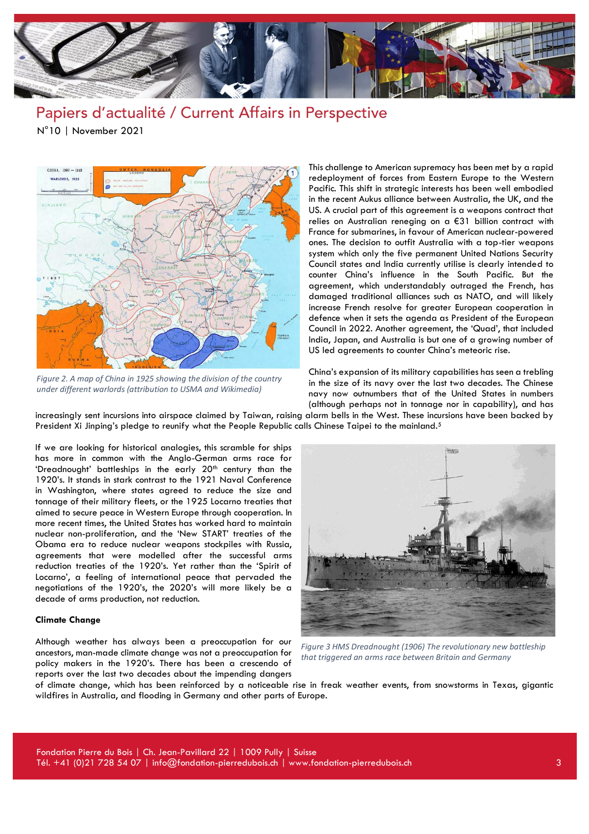

CHINA, 1900 - 1949 WARLORDS, 1925

*Figure 2. A map of China in 1925 showing the division of the country under different warlords (attribution to USMA and Wikimedia)*

This challenge to American supremacy has been met by a rapid redeployment of forces from Eastern Europe to the Western Pacific. This shift in strategic interests has been well embodied in the recent Aukus alliance between Australia, the UK, and the US. A crucial part of this agreement is a weapons contract that relies on Australian reneging on a €31 billion contract with France for submarines, in favour of American nuclear-powered ones. The decision to outfit Australia with a top-tier weapons system which only the five permanent United Nations Security Council states and India currently utilise is clearly intended to counter China's influence in the South Pacific. But the agreement, which understandably outraged the French, has damaged traditional alliances such as NATO, and will likely increase French resolve for greater European cooperation in defence when it sets the agenda as President of the European Council in 2022. Another agreement, the 'Quad', that included India, Japan, and Australia is but one of a growing number of US led agreements to counter China's meteoric rise.

China's expansion of its military capabilities has seen a trebling in the size of its navy over the last two decades. The Chinese navy now outnumbers that of the United States in numbers (although perhaps not in tonnage nor in capability), and has

increasingly sent incursions into airspace claimed by Taiwan, raising alarm bells in the West. These incursions have been backed by President Xi Jinping's pledge to reunify what the People Republic calls Chinese Taipei to the mainland.<sup>5</sup>

If we are looking for historical analogies, this scramble for ships has more in common with the Anglo-German arms race for 'Dreadnought' battleships in the early 20<sup>th</sup> century than the 1920's. It stands in stark contrast to the 1921 Naval Conference in Washington, where states agreed to reduce the size and tonnage of their military fleets, or the 1925 Locarno treaties that aimed to secure peace in Western Europe through cooperation. In more recent times, the United States has worked hard to maintain nuclear non-proliferation, and the 'New START' treaties of the Obama era to reduce nuclear weapons stockpiles with Russia, agreements that were modelled after the successful arms reduction treaties of the 1920's. Yet rather than the 'Spirit of Locarno', a feeling of international peace that pervaded the negotiations of the 1920's, the 2020's will more likely be a decade of arms production, not reduction.

#### **Climate Change**

Although weather has always been a preoccupation for our ancestors, man-made climate change was not a preoccupation for policy makers in the 1920's. There has been a crescendo of reports over the last two decades about the impending dangers



*Figure 3 HMS Dreadnought (1906) The revolutionary new battleship that triggered an arms race between Britain and Germany*

of climate change, which has been reinforced by a noticeable rise in freak weather events, from snowstorms in Texas, gigantic wildfires in Australia, and flooding in Germany and other parts of Europe.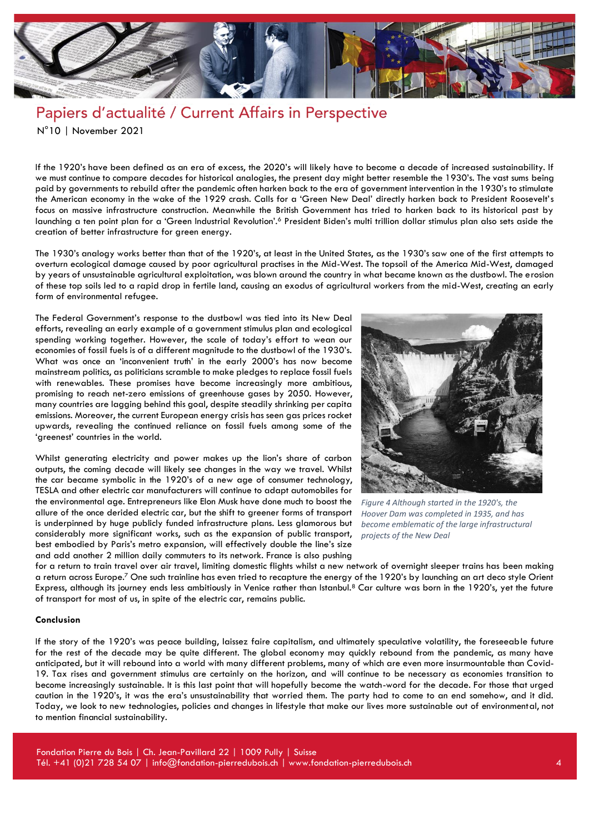

If the 1920's have been defined as an era of excess, the 2020's will likely have to become a decade of increased sustainability. If we must continue to compare decades for historical analogies, the present day might better resemble the 1930's. The vast sums being paid by governments to rebuild after the pandemic often harken back to the era of government intervention in the 1930's to stimulate the American economy in the wake of the 1929 crash. Calls for a 'Green New Deal' directly harken back to President Roosevelt's focus on massive infrastructure construction. Meanwhile the British Government has tried to harken back to its historical past by launching a ten point plan for a 'Green Industrial Revolution'.<sup>6</sup> President Biden's multi trillion dollar stimulus plan also sets aside the creation of better infrastructure for green energy.

The 1930's analogy works better than that of the 1920's, at least in the United States, as the 1930's saw one of the first attempts to overturn ecological damage caused by poor agricultural practises in the Mid-West. The topsoil of the America Mid-West, damaged by years of unsustainable agricultural exploitation, was blown around the country in what became known as the dustbowl. The erosion of these top soils led to a rapid drop in fertile land, causing an exodus of agricultural workers from the mid-West, creating an early form of environmental refugee.

The Federal Government's response to the dustbowl was tied into its New Deal efforts, revealing an early example of a government stimulus plan and ecological spending working together. However, the scale of today's effort to wean our economies of fossil fuels is of a different magnitude to the dustbowl of the 1930's. What was once an 'inconvenient truth' in the early 2000's has now become mainstream politics, as politicians scramble to make pledges to replace fossil fuels with renewables. These promises have become increasingly more ambitious, promising to reach net-zero emissions of greenhouse gases by 2050. However, many countries are lagging behind this goal, despite steadily shrinking per capita emissions. Moreover, the current European energy crisis has seen gas prices rocket upwards, revealing the continued reliance on fossil fuels among some of the 'greenest' countries in the world.

Whilst generating electricity and power makes up the lion's share of carbon outputs, the coming decade will likely see changes in the way we travel. Whilst the car became symbolic in the 1920's of a new age of consumer technology, TESLA and other electric car manufacturers will continue to adapt automobiles for the environmental age. Entrepreneurs like Elon Musk have done much to boost the allure of the once derided electric car, but the shift to greener forms of transport is underpinned by huge publicly funded infrastructure plans. Less glamorous but considerably more significant works, such as the expansion of public transport, best embodied by Paris's metro expansion, will effectively double the line's size and add another 2 million daily commuters to its network. France is also pushing



*Figure 4 Although started in the 1920's, the Hoover Dam was completed in 1935, and has become emblematic of the large infrastructural projects of the New Deal*

for a return to train travel over air travel, limiting domestic flights whilst a new network of overnight sleeper trains has been making a return across Europe.<sup>7</sup> One such trainline has even tried to recapture the energy of the 1920's by launching an art deco style Orient Express, although its journey ends less ambitiously in Venice rather than Istanbul.<sup>8</sup> Car culture was born in the 1920's, yet the future of transport for most of us, in spite of the electric car, remains public.

### **Conclusion**

If the story of the 1920's was peace building, laissez faire capitalism, and ultimately speculative volatility, the foreseeable future for the rest of the decade may be quite different. The global economy may quickly rebound from the pandemic, as many have anticipated, but it will rebound into a world with many different problems, many of which are even more insurmountable than Covid-19. Tax rises and government stimulus are certainly on the horizon, and will continue to be necessary as economies transition to become increasingly sustainable. It is this last point that will hopefully become the watch-word for the decade. For those that urged caution in the 1920's, it was the era's unsustainability that worried them. The party had to come to an end somehow, and it did. Today, we look to new technologies, policies and changes in lifestyle that make our lives more sustainable out of environmental, not to mention financial sustainability.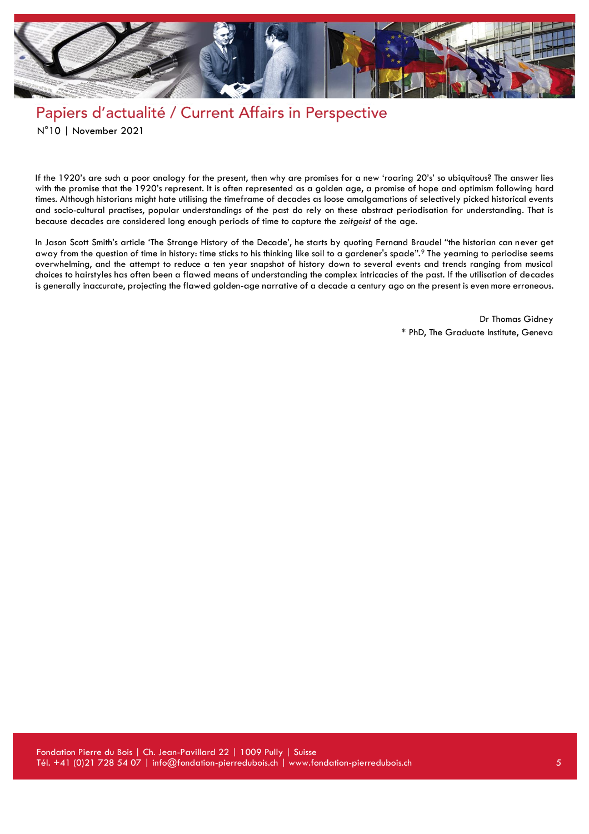

If the 1920's are such a poor analogy for the present, then why are promises for a new 'roaring 20's' so ubiquitous? The answer lies with the promise that the 1920's represent. It is often represented as a golden age, a promise of hope and optimism following hard times. Although historians might hate utilising the timeframe of decades as loose amalgamations of selectively picked historical events and socio-cultural practises, popular understandings of the past do rely on these abstract periodisation for understanding. That is because decades are considered long enough periods of time to capture the *zeitgeist* of the age.

In Jason Scott Smith's article 'The Strange History of the Decade', he starts by quoting Fernand Braudel "the historian can never get away from the question of time in history: time sticks to his thinking like soil to a gardener's spade".<sup>9</sup> The yearning to periodise seems overwhelming, and the attempt to reduce a ten year snapshot of history down to several events and trends ranging from musical choices to hairstyles has often been a flawed means of understanding the complex intricacies of the past. If the utilisation of decades is generally inaccurate, projecting the flawed golden-age narrative of a decade a century ago on the present is even more erroneous.

> Dr Thomas Gidney \* PhD, The Graduate Institute, Geneva